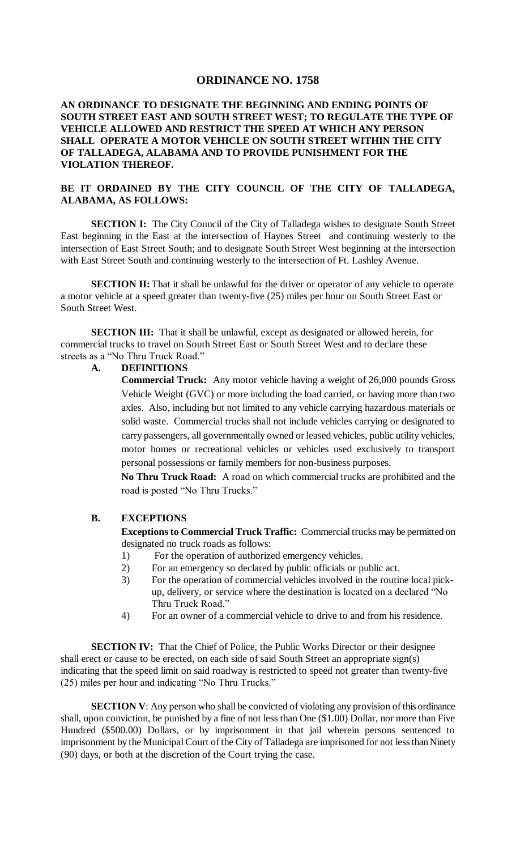# **ORDINANCE NO. 1758**

## **AN ORDINANCE TO DESIGNATE THE BEGINNING AND ENDING POINTS OF SOUTH STREET EAST AND SOUTH STREET WEST; TO REGULATE THE TYPE OF VEHICLE ALLOWED AND RESTRICT THE SPEED AT WHICH ANY PERSON SHALL OPERATE A MOTOR VEHICLE ON SOUTH STREET WITHIN THE CITY OF TALLADEGA, ALABAMA AND TO PROVIDE PUNISHMENT FOR THE VIOLATION THEREOF.**

# **BE IT ORDAINED BY THE CITY COUNCIL OF THE CITY OF TALLADEGA, ALABAMA, AS FOLLOWS:**

**SECTION I:** The City Council of the City of Talladega wishes to designate South Street East beginning in the East at the intersection of Haynes Street and continuing westerly to the intersection of East Street South; and to designate South Street West beginning at the intersection with East Street South and continuing westerly to the intersection of Ft. Lashley Avenue.

**SECTION II:** That it shall be unlawful for the driver or operator of any vehicle to operate a motor vehicle at a speed greater than twenty-five (25) miles per hour on South Street East or South Street West.

**SECTION III:** That it shall be unlawful, except as designated or allowed herein, for commercial trucks to travel on South Street East or South Street West and to declare these streets as a "No Thru Truck Road."

## **A. DEFINITIONS**

**Commercial Truck:** Any motor vehicle having a weight of 26,000 pounds Gross Vehicle Weight (GVC) or more including the load carried, or having more than two axles. Also, including but not limited to any vehicle carrying hazardous materials or solid waste. Commercial trucks shall not include vehicles carrying or designated to carry passengers, all governmentally owned or leased vehicles, public utility vehicles, motor homes or recreational vehicles or vehicles used exclusively to transport personal possessions or family members for non-business purposes.

**No Thru Truck Road:** A road on which commercial trucks are prohibited and the road is posted "No Thru Trucks."

#### **B. EXCEPTIONS**

**Exceptions to Commercial Truck Traffic:** Commercial trucks may be permitted on designated no truck roads as follows:

- 1) For the operation of authorized emergency vehicles.
- 2) For an emergency so declared by public officials or public act.
- 3) For the operation of commercial vehicles involved in the routine local pickup, delivery, or service where the destination is located on a declared "No Thru Truck Road."
- 4) For an owner of a commercial vehicle to drive to and from his residence.

**SECTION IV:** That the Chief of Police, the Public Works Director or their designee shall erect or cause to be erected, on each side of said South Street an appropriate sign(s) indicating that the speed limit on said roadway is restricted to speed not greater than twenty-five (25) miles per hour and indicating "No Thru Trucks."

**SECTION V**: Any person who shall be convicted of violating any provision of this ordinance shall, upon conviction, be punished by a fine of not less than One (\$1.00) Dollar, nor more than Five Hundred (\$500.00) Dollars, or by imprisonment in that jail wherein persons sentenced to imprisonment by the Municipal Court of the City of Talladega are imprisoned for not less than Ninety (90) days, or both at the discretion of the Court trying the case.